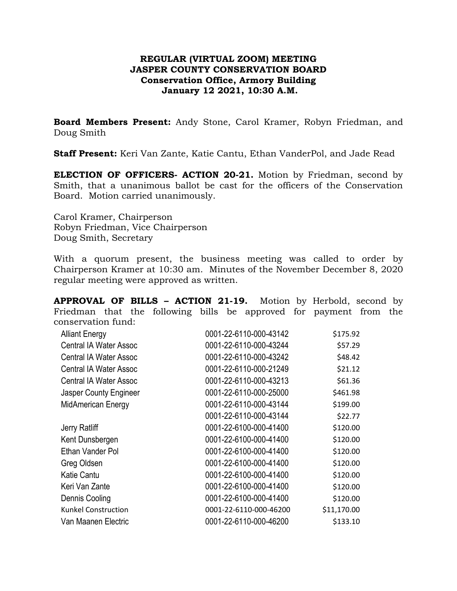## **REGULAR (VIRTUAL ZOOM) MEETING JASPER COUNTY CONSERVATION BOARD Conservation Office, Armory Building January 12 2021, 10:30 A.M.**

**Board Members Present:** Andy Stone, Carol Kramer, Robyn Friedman, and Doug Smith

**Staff Present:** Keri Van Zante, Katie Cantu, Ethan VanderPol, and Jade Read

**ELECTION OF OFFICERS- ACTION 20-21.** Motion by Friedman, second by Smith, that a unanimous ballot be cast for the officers of the Conservation Board. Motion carried unanimously.

Carol Kramer, Chairperson Robyn Friedman, Vice Chairperson Doug Smith, Secretary

With a quorum present, the business meeting was called to order by Chairperson Kramer at 10:30 am. Minutes of the November December 8, 2020 regular meeting were approved as written.

**APPROVAL OF BILLS – ACTION 21-19.** Motion by Herbold, second by Friedman that the following bills be approved for payment from the conservation fund:

| 0001-22-6110-000-43142 | \$175.92    |
|------------------------|-------------|
| 0001-22-6110-000-43244 | \$57.29     |
| 0001-22-6110-000-43242 | \$48.42     |
| 0001-22-6110-000-21249 | \$21.12     |
| 0001-22-6110-000-43213 | \$61.36     |
| 0001-22-6110-000-25000 | \$461.98    |
| 0001-22-6110-000-43144 | \$199.00    |
| 0001-22-6110-000-43144 | \$22.77     |
| 0001-22-6100-000-41400 | \$120.00    |
| 0001-22-6100-000-41400 | \$120.00    |
| 0001-22-6100-000-41400 | \$120.00    |
| 0001-22-6100-000-41400 | \$120.00    |
| 0001-22-6100-000-41400 | \$120.00    |
| 0001-22-6100-000-41400 | \$120.00    |
| 0001-22-6100-000-41400 | \$120.00    |
| 0001-22-6110-000-46200 | \$11,170.00 |
| 0001-22-6110-000-46200 | \$133.10    |
|                        |             |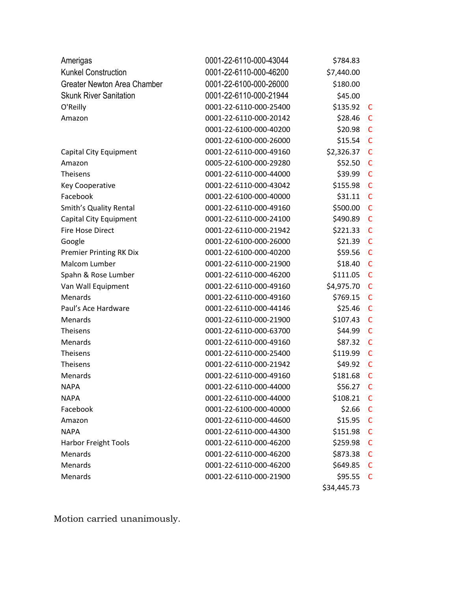| Amerigas                       | 0001-22-6110-000-43044 | \$784.83    |              |
|--------------------------------|------------------------|-------------|--------------|
| <b>Kunkel Construction</b>     | 0001-22-6110-000-46200 | \$7,440.00  |              |
| Greater Newton Area Chamber    | 0001-22-6100-000-26000 | \$180.00    |              |
| <b>Skunk River Sanitation</b>  | 0001-22-6110-000-21944 | \$45.00     |              |
| O'Reilly                       | 0001-22-6110-000-25400 | \$135.92    | C            |
| Amazon                         | 0001-22-6110-000-20142 | \$28.46     | C            |
|                                | 0001-22-6100-000-40200 | \$20.98     | $\mathsf{C}$ |
|                                | 0001-22-6100-000-26000 | \$15.54     | C            |
| Capital City Equipment         | 0001-22-6110-000-49160 | \$2,326.37  | $\mathsf{C}$ |
| Amazon                         | 0005-22-6100-000-29280 | \$52.50     | C            |
| <b>Theisens</b>                | 0001-22-6110-000-44000 | \$39.99     | $\mathsf{C}$ |
| <b>Key Cooperative</b>         | 0001-22-6110-000-43042 | \$155.98    | C            |
| Facebook                       | 0001-22-6100-000-40000 | \$31.11     | $\mathsf{C}$ |
| Smith's Quality Rental         | 0001-22-6110-000-49160 | \$500.00    | C            |
| Capital City Equipment         | 0001-22-6110-000-24100 | \$490.89    | C            |
| <b>Fire Hose Direct</b>        | 0001-22-6110-000-21942 | \$221.33    | C            |
| Google                         | 0001-22-6100-000-26000 | \$21.39     | $\mathsf{C}$ |
| <b>Premier Printing RK Dix</b> | 0001-22-6100-000-40200 | \$59.56     | C            |
| Malcom Lumber                  | 0001-22-6110-000-21900 | \$18.40     | C            |
| Spahn & Rose Lumber            | 0001-22-6110-000-46200 | \$111.05    | C            |
| Van Wall Equipment             | 0001-22-6110-000-49160 | \$4,975.70  | C            |
| Menards                        | 0001-22-6110-000-49160 | \$769.15    | C            |
| Paul's Ace Hardware            | 0001-22-6110-000-44146 | \$25.46     | $\mathsf{C}$ |
| Menards                        | 0001-22-6110-000-21900 | \$107.43    | C            |
| Theisens                       | 0001-22-6110-000-63700 | \$44.99     | $\mathsf{C}$ |
| Menards                        | 0001-22-6110-000-49160 | \$87.32     | C            |
| Theisens                       | 0001-22-6110-000-25400 | \$119.99    | $\mathsf{C}$ |
| Theisens                       | 0001-22-6110-000-21942 | \$49.92     | C            |
| Menards                        | 0001-22-6110-000-49160 | \$181.68    | C            |
| <b>NAPA</b>                    | 0001-22-6110-000-44000 | \$56.27     | C            |
| <b>NAPA</b>                    | 0001-22-6110-000-44000 | \$108.21    | C            |
| Facebook                       | 0001-22-6100-000-40000 | \$2.66      | C            |
| Amazon                         | 0001-22-6110-000-44600 | \$15.95     | $\mathsf{C}$ |
| <b>NAPA</b>                    | 0001-22-6110-000-44300 | \$151.98    | C            |
| <b>Harbor Freight Tools</b>    | 0001-22-6110-000-46200 | \$259.98    | C            |
| Menards                        | 0001-22-6110-000-46200 | \$873.38    | C            |
| Menards                        | 0001-22-6110-000-46200 | \$649.85    | C            |
| Menards                        | 0001-22-6110-000-21900 | \$95.55     | C            |
|                                |                        | \$34,445.73 |              |

Motion carried unanimously.